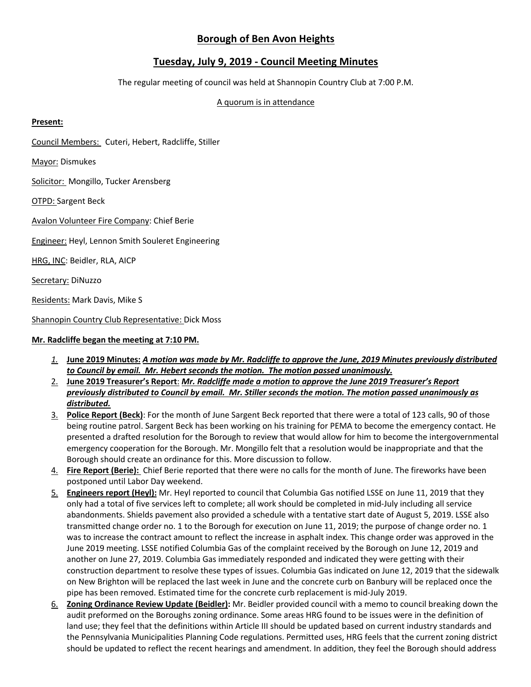# **Borough of Ben Avon Heights**

# **Tuesday, July 9, 2019 - Council Meeting Minutes**

The regular meeting of council was held at Shannopin Country Club at 7:00 P.M.

## A quorum is in attendance

# **Present:**

Council Members: Cuteri, Hebert, Radcliffe, Stiller

Mayor: Dismukes

Solicitor: Mongillo, Tucker Arensberg

OTPD: Sargent Beck

Avalon Volunteer Fire Company: Chief Berie

**Engineer: Heyl, Lennon Smith Souleret Engineering** 

HRG, INC: Beidler, RLA, AICP

Secretary: DiNuzzo

Residents: Mark Davis, Mike S

Shannopin Country Club Representative: Dick Moss

# **Mr. Radcliffe began the meeting at 7:10 PM.**

- *1.* **June 2019 Minutes:** *A motion was made by Mr. Radcliffe to approve the June, 2019 Minutes previously distributed to Council by email. Mr. Hebert seconds the motion. The motion passed unanimously.*
- 2. **June 2019 Treasurer's Report**: *Mr. Radcliffe made a motion to approve the June 2019 Treasurer's Report previously distributed to Council by email. Mr. Stiller seconds the motion. The motion passed unanimously as distributed.*
- 3. **Police Report (Beck)**: For the month of June Sargent Beck reported that there were a total of 123 calls, 90 of those being routine patrol. Sargent Beck has been working on his training for PEMA to become the emergency contact. He presented a drafted resolution for the Borough to review that would allow for him to become the intergovernmental emergency cooperation for the Borough. Mr. Mongillo felt that a resolution would be inappropriate and that the Borough should create an ordinance for this. More discussion to follow.
- 4. **Fire Report (Berie):** Chief Berie reported that there were no calls for the month of June. The fireworks have been postponed until Labor Day weekend.
- 5. **Engineers report (Heyl):** Mr. Heyl reported to council that Columbia Gas notified LSSE on June 11, 2019 that they only had a total of five services left to complete; all work should be completed in mid-July including all service abandonments. Shields pavement also provided a schedule with a tentative start date of August 5, 2019. LSSE also transmitted change order no. 1 to the Borough for execution on June 11, 2019; the purpose of change order no. 1 was to increase the contract amount to reflect the increase in asphalt index. This change order was approved in the June 2019 meeting. LSSE notified Columbia Gas of the complaint received by the Borough on June 12, 2019 and another on June 27, 2019. Columbia Gas immediately responded and indicated they were getting with their construction department to resolve these types of issues. Columbia Gas indicated on June 12, 2019 that the sidewalk on New Brighton will be replaced the last week in June and the concrete curb on Banbury will be replaced once the pipe has been removed. Estimated time for the concrete curb replacement is mid-July 2019.
- 6. **Zoning Ordinance Review Update (Beidler):** Mr. Beidler provided council with a memo to council breaking down the audit preformed on the Boroughs zoning ordinance. Some areas HRG found to be issues were in the definition of land use; they feel that the definitions within Article III should be updated based on current industry standards and the Pennsylvania Municipalities Planning Code regulations. Permitted uses, HRG feels that the current zoning district should be updated to reflect the recent hearings and amendment. In addition, they feel the Borough should address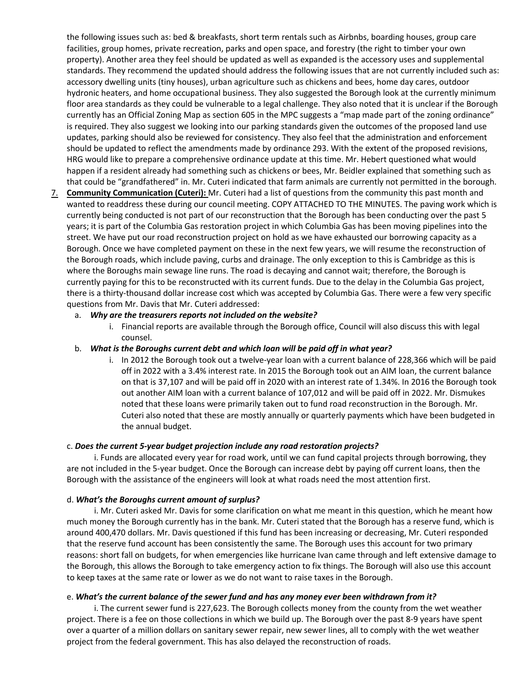the following issues such as: bed & breakfasts, short term rentals such as Airbnbs, boarding houses, group care facilities, group homes, private recreation, parks and open space, and forestry (the right to timber your own property). Another area they feel should be updated as well as expanded is the accessory uses and supplemental standards. They recommend the updated should address the following issues that are not currently included such as: accessory dwelling units (tiny houses), urban agriculture such as chickens and bees, home day cares, outdoor hydronic heaters, and home occupational business. They also suggested the Borough look at the currently minimum floor area standards as they could be vulnerable to a legal challenge. They also noted that it is unclear if the Borough currently has an Official Zoning Map as section 605 in the MPC suggests a "map made part of the zoning ordinance" is required. They also suggest we looking into our parking standards given the outcomes of the proposed land use updates, parking should also be reviewed for consistency. They also feel that the administration and enforcement should be updated to reflect the amendments made by ordinance 293. With the extent of the proposed revisions, HRG would like to prepare a comprehensive ordinance update at this time. Mr. Hebert questioned what would happen if a resident already had something such as chickens or bees, Mr. Beidler explained that something such as that could be "grandfathered" in. Mr. Cuteri indicated that farm animals are currently not permitted in the borough.

7. **Community Communication (Cuteri):** Mr. Cuteri had a list of questions from the community this past month and wanted to readdress these during our council meeting. COPY ATTACHED TO THE MINUTES. The paving work which is currently being conducted is not part of our reconstruction that the Borough has been conducting over the past 5 years; it is part of the Columbia Gas restoration project in which Columbia Gas has been moving pipelines into the street. We have put our road reconstruction project on hold as we have exhausted our borrowing capacity as a Borough. Once we have completed payment on these in the next few years, we will resume the reconstruction of the Borough roads, which include paving, curbs and drainage. The only exception to this is Cambridge as this is where the Boroughs main sewage line runs. The road is decaying and cannot wait; therefore, the Borough is currently paying for this to be reconstructed with its current funds. Due to the delay in the Columbia Gas project, there is a thirty-thousand dollar increase cost which was accepted by Columbia Gas. There were a few very specific questions from Mr. Davis that Mr. Cuteri addressed:

## a. *Why are the treasurers reports not included on the website?*

i. Financial reports are available through the Borough office, Council will also discuss this with legal counsel.

# b. *What is the Boroughs current debt and which loan will be paid off in what year?*

i. In 2012 the Borough took out a twelve-year loan with a current balance of 228,366 which will be paid off in 2022 with a 3.4% interest rate. In 2015 the Borough took out an AIM loan, the current balance on that is 37,107 and will be paid off in 2020 with an interest rate of 1.34%. In 2016 the Borough took out another AIM loan with a current balance of 107,012 and will be paid off in 2022. Mr. Dismukes noted that these loans were primarily taken out to fund road reconstruction in the Borough. Mr. Cuteri also noted that these are mostly annually or quarterly payments which have been budgeted in the annual budget.

## c. *Does the current 5-year budget projection include any road restoration projects?*

i. Funds are allocated every year for road work, until we can fund capital projects through borrowing, they are not included in the 5-year budget. Once the Borough can increase debt by paying off current loans, then the Borough with the assistance of the engineers will look at what roads need the most attention first.

## d. *What's the Boroughs current amount of surplus?*

i. Mr. Cuteri asked Mr. Davis for some clarification on what me meant in this question, which he meant how much money the Borough currently has in the bank. Mr. Cuteri stated that the Borough has a reserve fund, which is around 400,470 dollars. Mr. Davis questioned if this fund has been increasing or decreasing, Mr. Cuteri responded that the reserve fund account has been consistently the same. The Borough uses this account for two primary reasons: short fall on budgets, for when emergencies like hurricane Ivan came through and left extensive damage to the Borough, this allows the Borough to take emergency action to fix things. The Borough will also use this account to keep taxes at the same rate or lower as we do not want to raise taxes in the Borough.

## e. *What's the current balance of the sewer fund and has any money ever been withdrawn from it?*

i. The current sewer fund is 227,623. The Borough collects money from the county from the wet weather project. There is a fee on those collections in which we build up. The Borough over the past 8-9 years have spent over a quarter of a million dollars on sanitary sewer repair, new sewer lines, all to comply with the wet weather project from the federal government. This has also delayed the reconstruction of roads.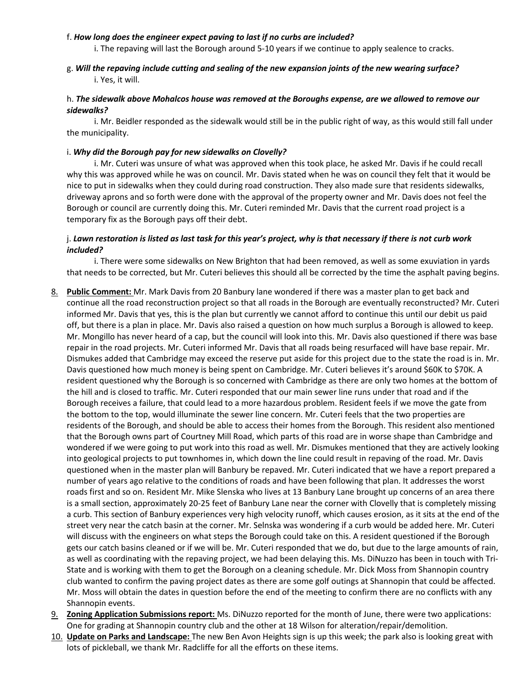## f. *How long does the engineer expect paving to last if no curbs are included?*

i. The repaving will last the Borough around 5-10 years if we continue to apply sealence to cracks.

g. *Will the repaving include cutting and sealing of the new expansion joints of the new wearing surface?* i. Yes, it will.

# h. *The sidewalk above Mohalcos house was removed at the Boroughs expense, are we allowed to remove our sidewalks?*

i. Mr. Beidler responded as the sidewalk would still be in the public right of way, as this would still fall under the municipality.

# i. *Why did the Borough pay for new sidewalks on Clovelly?*

i. Mr. Cuteri was unsure of what was approved when this took place, he asked Mr. Davis if he could recall why this was approved while he was on council. Mr. Davis stated when he was on council they felt that it would be nice to put in sidewalks when they could during road construction. They also made sure that residents sidewalks, driveway aprons and so forth were done with the approval of the property owner and Mr. Davis does not feel the Borough or council are currently doing this. Mr. Cuteri reminded Mr. Davis that the current road project is a temporary fix as the Borough pays off their debt.

# j. *Lawn restoration is listed as last task for this year's project, why is that necessary if there is not curb work included?*

i. There were some sidewalks on New Brighton that had been removed, as well as some exuviation in yards that needs to be corrected, but Mr. Cuteri believes this should all be corrected by the time the asphalt paving begins.

- 8. **Public Comment:** Mr. Mark Davis from 20 Banbury lane wondered if there was a master plan to get back and continue all the road reconstruction project so that all roads in the Borough are eventually reconstructed? Mr. Cuteri informed Mr. Davis that yes, this is the plan but currently we cannot afford to continue this until our debit us paid off, but there is a plan in place. Mr. Davis also raised a question on how much surplus a Borough is allowed to keep. Mr. Mongillo has never heard of a cap, but the council will look into this. Mr. Davis also questioned if there was base repair in the road projects. Mr. Cuteri informed Mr. Davis that all roads being resurfaced will have base repair. Mr. Dismukes added that Cambridge may exceed the reserve put aside for this project due to the state the road is in. Mr. Davis questioned how much money is being spent on Cambridge. Mr. Cuteri believes it's around \$60K to \$70K. A resident questioned why the Borough is so concerned with Cambridge as there are only two homes at the bottom of the hill and is closed to traffic. Mr. Cuteri responded that our main sewer line runs under that road and if the Borough receives a failure, that could lead to a more hazardous problem. Resident feels if we move the gate from the bottom to the top, would illuminate the sewer line concern. Mr. Cuteri feels that the two properties are residents of the Borough, and should be able to access their homes from the Borough. This resident also mentioned that the Borough owns part of Courtney Mill Road, which parts of this road are in worse shape than Cambridge and wondered if we were going to put work into this road as well. Mr. Dismukes mentioned that they are actively looking into geological projects to put townhomes in, which down the line could result in repaving of the road. Mr. Davis questioned when in the master plan will Banbury be repaved. Mr. Cuteri indicated that we have a report prepared a number of years ago relative to the conditions of roads and have been following that plan. It addresses the worst roads first and so on. Resident Mr. Mike Slenska who lives at 13 Banbury Lane brought up concerns of an area there is a small section, approximately 20-25 feet of Banbury Lane near the corner with Clovelly that is completely missing a curb. This section of Banbury experiences very high velocity runoff, which causes erosion, as it sits at the end of the street very near the catch basin at the corner. Mr. Selnska was wondering if a curb would be added here. Mr. Cuteri will discuss with the engineers on what steps the Borough could take on this. A resident questioned if the Borough gets our catch basins cleaned or if we will be. Mr. Cuteri responded that we do, but due to the large amounts of rain, as well as coordinating with the repaving project, we had been delaying this. Ms. DiNuzzo has been in touch with Tri-State and is working with them to get the Borough on a cleaning schedule. Mr. Dick Moss from Shannopin country club wanted to confirm the paving project dates as there are some golf outings at Shannopin that could be affected. Mr. Moss will obtain the dates in question before the end of the meeting to confirm there are no conflicts with any Shannopin events.
- 9. **Zoning Application Submissions report:** Ms. DiNuzzo reported for the month of June, there were two applications: One for grading at Shannopin country club and the other at 18 Wilson for alteration/repair/demolition.
- 10. **Update on Parks and Landscape:** The new Ben Avon Heights sign is up this week; the park also is looking great with lots of pickleball, we thank Mr. Radcliffe for all the efforts on these items.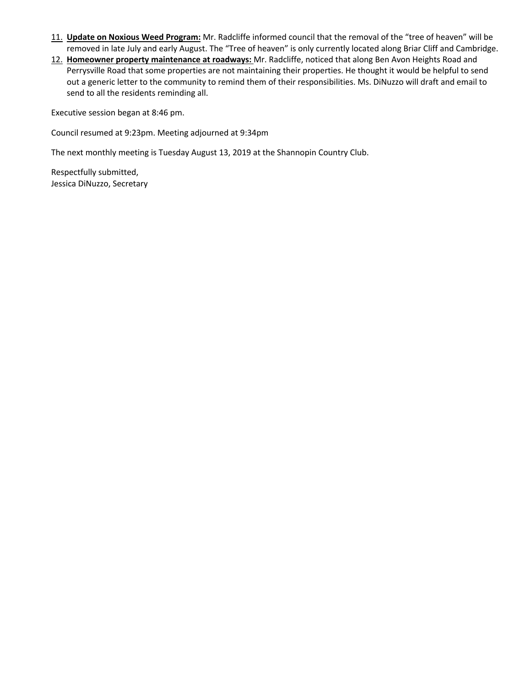- 11. **Update on Noxious Weed Program:** Mr. Radcliffe informed council that the removal of the "tree of heaven" will be removed in late July and early August. The "Tree of heaven" is only currently located along Briar Cliff and Cambridge.
- 12. **Homeowner property maintenance at roadways:** Mr. Radcliffe, noticed that along Ben Avon Heights Road and Perrysville Road that some properties are not maintaining their properties. He thought it would be helpful to send out a generic letter to the community to remind them of their responsibilities. Ms. DiNuzzo will draft and email to send to all the residents reminding all.

Executive session began at 8:46 pm.

Council resumed at 9:23pm. Meeting adjourned at 9:34pm

The next monthly meeting is Tuesday August 13, 2019 at the Shannopin Country Club.

Respectfully submitted, Jessica DiNuzzo, Secretary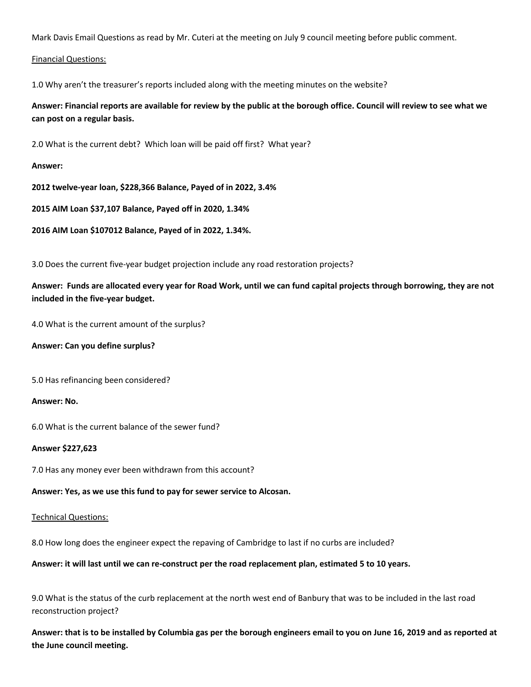Mark Davis Email Questions as read by Mr. Cuteri at the meeting on July 9 council meeting before public comment.

## Financial Questions:

1.0 Why aren't the treasurer's reports included along with the meeting minutes on the website?

**Answer: Financial reports are available for review by the public at the borough office. Council will review to see what we can post on a regular basis.**

2.0 What is the current debt? Which loan will be paid off first? What year?

### **Answer:**

**2012 twelve-year loan, \$228,366 Balance, Payed of in 2022, 3.4%**

**2015 AIM Loan \$37,107 Balance, Payed off in 2020, 1.34%**

**2016 AIM Loan \$107012 Balance, Payed of in 2022, 1.34%.**

3.0 Does the current five-year budget projection include any road restoration projects?

**Answer: Funds are allocated every year for Road Work, until we can fund capital projects through borrowing, they are not included in the five-year budget.**

4.0 What is the current amount of the surplus?

**Answer: Can you define surplus?**

5.0 Has refinancing been considered?

## **Answer: No.**

6.0 What is the current balance of the sewer fund?

## **Answer \$227,623**

7.0 Has any money ever been withdrawn from this account?

**Answer: Yes, as we use this fund to pay for sewer service to Alcosan.**

Technical Questions:

8.0 How long does the engineer expect the repaving of Cambridge to last if no curbs are included?

**Answer: it will last until we can re-construct per the road replacement plan, estimated 5 to 10 years.**

9.0 What is the status of the curb replacement at the north west end of Banbury that was to be included in the last road reconstruction project?

**Answer: that is to be installed by Columbia gas per the borough engineers email to you on June 16, 2019 and as reported at the June council meeting.**